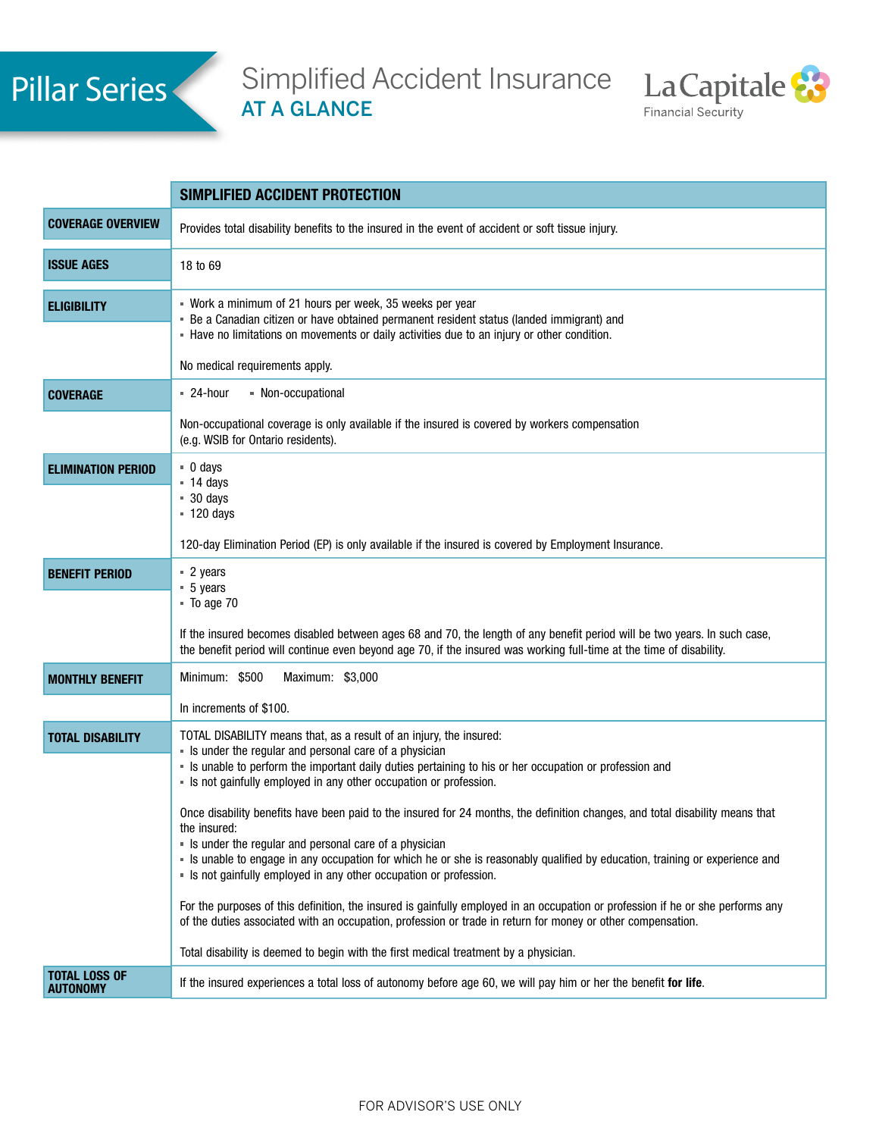

Simplified Accident Insurance AT A GLANCE



|                                         | SIMPLIFIED ACCIDENT PROTECTION                                                                                                                                                                                                                                                                                                                                                                                                                                                                                                                                                                                                                                                                                                                                                                                                                                                                                                                                                                                                                                              |
|-----------------------------------------|-----------------------------------------------------------------------------------------------------------------------------------------------------------------------------------------------------------------------------------------------------------------------------------------------------------------------------------------------------------------------------------------------------------------------------------------------------------------------------------------------------------------------------------------------------------------------------------------------------------------------------------------------------------------------------------------------------------------------------------------------------------------------------------------------------------------------------------------------------------------------------------------------------------------------------------------------------------------------------------------------------------------------------------------------------------------------------|
| <b>COVERAGE OVERVIEW</b>                | Provides total disability benefits to the insured in the event of accident or soft tissue injury.                                                                                                                                                                                                                                                                                                                                                                                                                                                                                                                                                                                                                                                                                                                                                                                                                                                                                                                                                                           |
| <b>ISSUE AGES</b>                       | 18 to 69                                                                                                                                                                                                                                                                                                                                                                                                                                                                                                                                                                                                                                                                                                                                                                                                                                                                                                                                                                                                                                                                    |
| <b>ELIGIBILITY</b>                      | " Work a minimum of 21 hours per week, 35 weeks per year<br>- Be a Canadian citizen or have obtained permanent resident status (landed immigrant) and<br>- Have no limitations on movements or daily activities due to an injury or other condition.<br>No medical requirements apply.                                                                                                                                                                                                                                                                                                                                                                                                                                                                                                                                                                                                                                                                                                                                                                                      |
| <b>COVERAGE</b>                         | - Non-occupational<br>$= 24$ -hour                                                                                                                                                                                                                                                                                                                                                                                                                                                                                                                                                                                                                                                                                                                                                                                                                                                                                                                                                                                                                                          |
|                                         | Non-occupational coverage is only available if the insured is covered by workers compensation<br>(e.g. WSIB for Ontario residents).                                                                                                                                                                                                                                                                                                                                                                                                                                                                                                                                                                                                                                                                                                                                                                                                                                                                                                                                         |
| <b>ELIMINATION PERIOD</b>               | $\blacksquare$ 0 days<br>$-14$ days<br>$90 \text{ days}$<br>$-120$ days<br>120-day Elimination Period (EP) is only available if the insured is covered by Employment Insurance.                                                                                                                                                                                                                                                                                                                                                                                                                                                                                                                                                                                                                                                                                                                                                                                                                                                                                             |
| <b>BENEFIT PERIOD</b>                   | $\sqrt{2}$ years<br>$-5$ years<br>$\blacksquare$ To age 70<br>If the insured becomes disabled between ages 68 and 70, the length of any benefit period will be two years. In such case,<br>the benefit period will continue even beyond age 70, if the insured was working full-time at the time of disability.                                                                                                                                                                                                                                                                                                                                                                                                                                                                                                                                                                                                                                                                                                                                                             |
| <b>MONTHLY BENEFIT</b>                  | Minimum: \$500<br>Maximum: \$3,000<br>In increments of \$100.                                                                                                                                                                                                                                                                                                                                                                                                                                                                                                                                                                                                                                                                                                                                                                                                                                                                                                                                                                                                               |
| <b>TOTAL DISABILITY</b>                 | TOTAL DISABILITY means that, as a result of an injury, the insured:<br>• Is under the regular and personal care of a physician<br>- Is unable to perform the important daily duties pertaining to his or her occupation or profession and<br>- Is not gainfully employed in any other occupation or profession.<br>Once disability benefits have been paid to the insured for 24 months, the definition changes, and total disability means that<br>the insured:<br>• Is under the regular and personal care of a physician<br>- Is unable to engage in any occupation for which he or she is reasonably qualified by education, training or experience and<br>· Is not gainfully employed in any other occupation or profession.<br>For the purposes of this definition, the insured is gainfully employed in an occupation or profession if he or she performs any<br>of the duties associated with an occupation, profession or trade in return for money or other compensation.<br>Total disability is deemed to begin with the first medical treatment by a physician. |
| <b>TOTAL LOSS OF</b><br><b>AUTONOMY</b> | If the insured experiences a total loss of autonomy before age 60, we will pay him or her the benefit for life.                                                                                                                                                                                                                                                                                                                                                                                                                                                                                                                                                                                                                                                                                                                                                                                                                                                                                                                                                             |